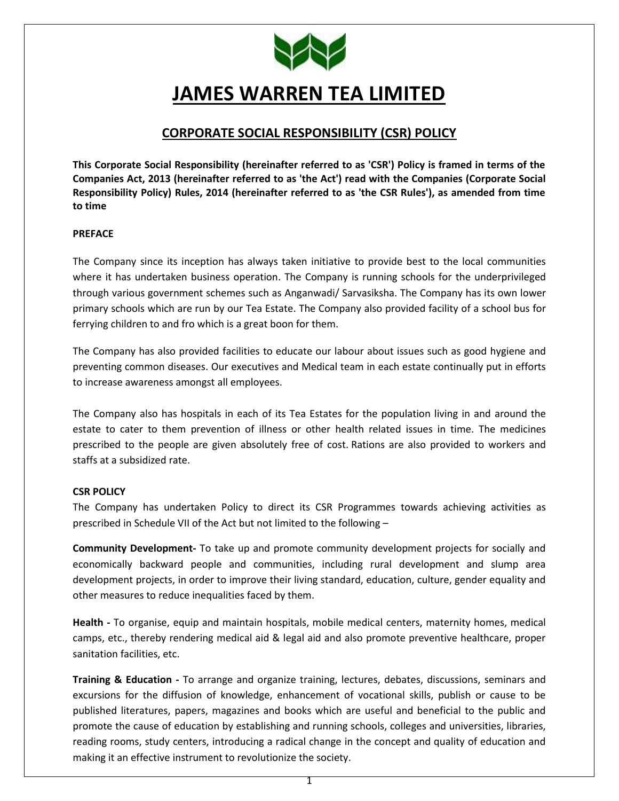

# **JAMES WARREN TEA LIMITED**

# **CORPORATE SOCIAL RESPONSIBILITY (CSR) POLICY**

**This Corporate Social Responsibility (hereinafter referred to as 'CSR') Policy is framed in terms of the Companies Act, 2013 (hereinafter referred to as 'the Act') read with the Companies (Corporate Social Responsibility Policy) Rules, 2014 (hereinafter referred to as 'the CSR Rules'), as amended from time to time**

## **PREFACE**

The Company since its inception has always taken initiative to provide best to the local communities where it has undertaken business operation. The Company is running schools for the underprivileged through various government schemes such as Anganwadi/ Sarvasiksha. The Company has its own lower primary schools which are run by our Tea Estate. The Company also provided facility of a school bus for ferrying children to and fro which is a great boon for them.

The Company has also provided facilities to educate our labour about issues such as good hygiene and preventing common diseases. Our executives and Medical team in each estate continually put in efforts to increase awareness amongst all employees.

The Company also has hospitals in each of its Tea Estates for the population living in and around the estate to cater to them prevention of illness or other health related issues in time. The medicines prescribed to the people are given absolutely free of cost. Rations are also provided to workers and staffs at a subsidized rate.

## **CSR POLICY**

The Company has undertaken Policy to direct its CSR Programmes towards achieving activities as prescribed in Schedule VII of the Act but not limited to the following –

**Community Development-** To take up and promote community development projects for socially and economically backward people and communities, including rural development and slump area development projects, in order to improve their living standard, education, culture, gender equality and other measures to reduce inequalities faced by them.

**Health -** To organise, equip and maintain hospitals, mobile medical centers, maternity homes, medical camps, etc., thereby rendering medical aid & legal aid and also promote preventive healthcare, proper sanitation facilities, etc.

**Training & Education -** To arrange and organize training, lectures, debates, discussions, seminars and excursions for the diffusion of knowledge, enhancement of vocational skills, publish or cause to be published literatures, papers, magazines and books which are useful and beneficial to the public and promote the cause of education by establishing and running schools, colleges and universities, libraries, reading rooms, study centers, introducing a radical change in the concept and quality of education and making it an effective instrument to revolutionize the society.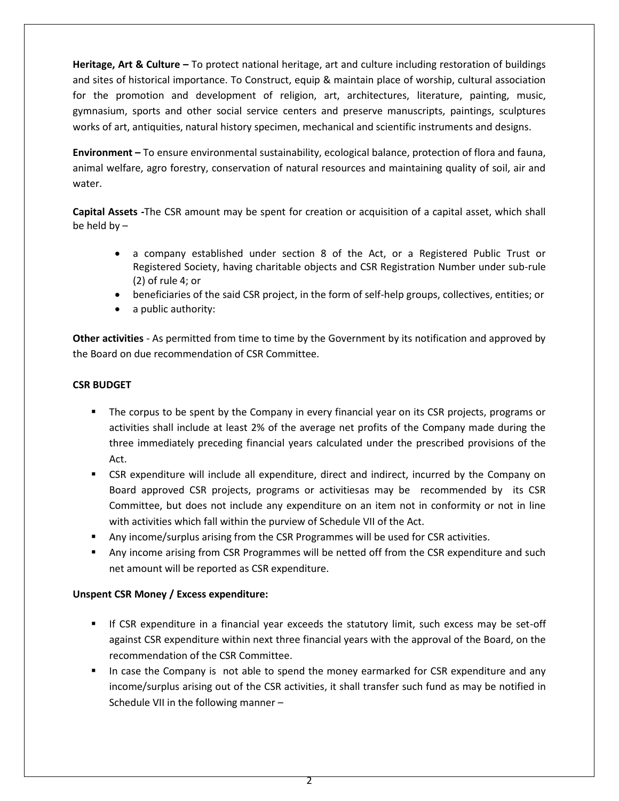**Heritage, Art & Culture –** To protect national heritage, art and culture including restoration of buildings and sites of historical importance. To Construct, equip & maintain place of worship, cultural association for the promotion and development of religion, art, architectures, literature, painting, music, gymnasium, sports and other social service centers and preserve manuscripts, paintings, sculptures works of art, antiquities, natural history specimen, mechanical and scientific instruments and designs.

**Environment –** To ensure environmental sustainability, ecological balance, protection of flora and fauna, animal welfare, agro forestry, conservation of natural resources and maintaining quality of soil, air and water.

**Capital Assets -**The CSR amount may be spent for creation or acquisition of a capital asset, which shall be held by –

- a company established under section 8 of the Act, or a Registered Public Trust or Registered Society, having charitable objects and CSR Registration Number under sub-rule (2) of rule 4; or
- beneficiaries of the said CSR project, in the form of self-help groups, collectives, entities; or
- a public authority:

**Other activities** - As permitted from time to time by the Government by its notification and approved by the Board on due recommendation of CSR Committee.

# **CSR BUDGET**

- The corpus to be spent by the Company in every financial year on its CSR projects, programs or activities shall include at least 2% of the average net profits of the Company made during the three immediately preceding financial years calculated under the prescribed provisions of the Act.
- CSR expenditure will include all expenditure, direct and indirect, incurred by the Company on Board approved CSR projects, programs or activitiesas may be recommended by its CSR Committee, but does not include any expenditure on an item not in conformity or not in line with activities which fall within the purview of Schedule VII of the Act.
- Any income/surplus arising from the CSR Programmes will be used for CSR activities.
- Any income arising from CSR Programmes will be netted off from the CSR expenditure and such net amount will be reported as CSR expenditure.

## **Unspent CSR Money / Excess expenditure:**

- If CSR expenditure in a financial year exceeds the statutory limit, such excess may be set-off against CSR expenditure within next three financial years with the approval of the Board, on the recommendation of the CSR Committee.
- In case the Company is not able to spend the money earmarked for CSR expenditure and any income/surplus arising out of the CSR activities, it shall transfer such fund as may be notified in Schedule VII in the following manner –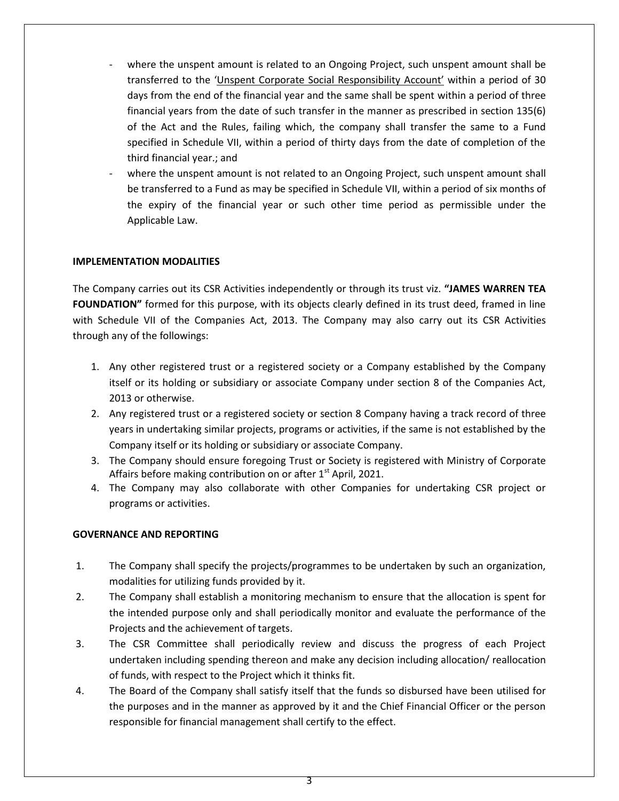- where the unspent amount is related to an Ongoing Project, such unspent amount shall be transferred to the 'Unspent Corporate Social Responsibility Account' within a period of 30 days from the end of the financial year and the same shall be spent within a period of three financial years from the date of such transfer in the manner as prescribed in section 135(6) of the Act and the Rules, failing which, the company shall transfer the same to a Fund specified in Schedule VII, within a period of thirty days from the date of completion of the third financial year.; and
- where the unspent amount is not related to an Ongoing Project, such unspent amount shall be transferred to a Fund as may be specified in Schedule VII, within a period of six months of the expiry of the financial year or such other time period as permissible under the Applicable Law.

# **IMPLEMENTATION MODALITIES**

The Company carries out its CSR Activities independently or through its trust viz. **"JAMES WARREN TEA FOUNDATION"** formed for this purpose, with its objects clearly defined in its trust deed, framed in line with Schedule VII of the Companies Act, 2013. The Company may also carry out its CSR Activities through any of the followings:

- 1. Any other registered trust or a registered society or a Company established by the Company itself or its holding or subsidiary or associate Company under section 8 of the Companies Act, 2013 or otherwise.
- 2. Any registered trust or a registered society or section 8 Company having a track record of three years in undertaking similar projects, programs or activities, if the same is not established by the Company itself or its holding or subsidiary or associate Company.
- 3. The Company should ensure foregoing Trust or Society is registered with Ministry of Corporate Affairs before making contribution on or after  $1<sup>st</sup>$  April, 2021.
- 4. The Company may also collaborate with other Companies for undertaking CSR project or programs or activities.

## **GOVERNANCE AND REPORTING**

- 1. The Company shall specify the projects/programmes to be undertaken by such an organization, modalities for utilizing funds provided by it.
- 2. The Company shall establish a monitoring mechanism to ensure that the allocation is spent for the intended purpose only and shall periodically monitor and evaluate the performance of the Projects and the achievement of targets.
- 3. The CSR Committee shall periodically review and discuss the progress of each Project undertaken including spending thereon and make any decision including allocation/ reallocation of funds, with respect to the Project which it thinks fit.
- 4. The Board of the Company shall satisfy itself that the funds so disbursed have been utilised for the purposes and in the manner as approved by it and the Chief Financial Officer or the person responsible for financial management shall certify to the effect.